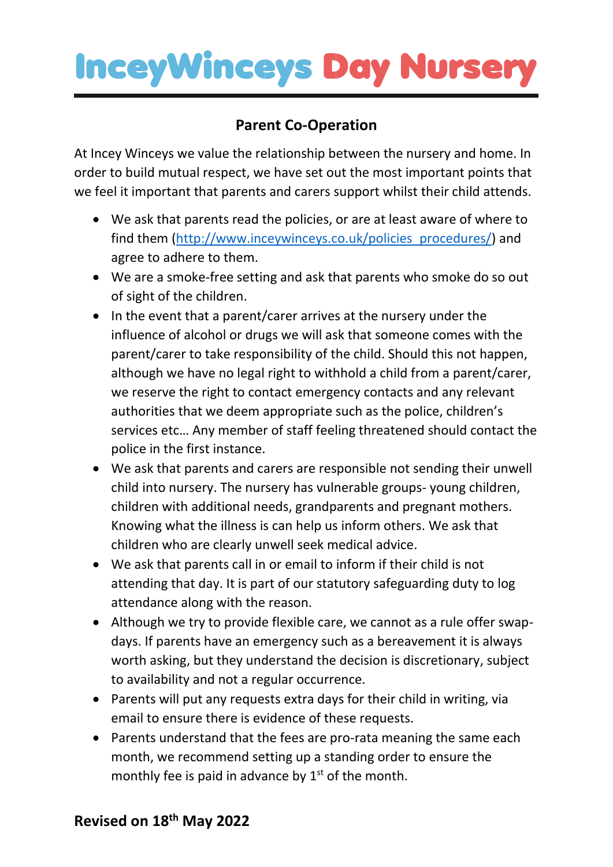#### **Parent Co-Operation**

At Incey Winceys we value the relationship between the nursery and home. In order to build mutual respect, we have set out the most important points that we feel it important that parents and carers support whilst their child attends.

- We ask that parents read the policies, or are at least aware of where to find them [\(http://www.inceywinceys.co.uk/policies\\_procedures/\)](http://www.inceywinceys.co.uk/policies_procedures/) and agree to adhere to them.
- We are a smoke-free setting and ask that parents who smoke do so out of sight of the children.
- In the event that a parent/carer arrives at the nursery under the influence of alcohol or drugs we will ask that someone comes with the parent/carer to take responsibility of the child. Should this not happen, although we have no legal right to withhold a child from a parent/carer, we reserve the right to contact emergency contacts and any relevant authorities that we deem appropriate such as the police, children's services etc… Any member of staff feeling threatened should contact the police in the first instance.
- We ask that parents and carers are responsible not sending their unwell child into nursery. The nursery has vulnerable groups- young children, children with additional needs, grandparents and pregnant mothers. Knowing what the illness is can help us inform others. We ask that children who are clearly unwell seek medical advice.
- We ask that parents call in or email to inform if their child is not attending that day. It is part of our statutory safeguarding duty to log attendance along with the reason.
- Although we try to provide flexible care, we cannot as a rule offer swapdays. If parents have an emergency such as a bereavement it is always worth asking, but they understand the decision is discretionary, subject to availability and not a regular occurrence.
- Parents will put any requests extra days for their child in writing, via email to ensure there is evidence of these requests.
- Parents understand that the fees are pro-rata meaning the same each month, we recommend setting up a standing order to ensure the monthly fee is paid in advance by  $1<sup>st</sup>$  of the month.

#### **Revised on 18 th May 2022**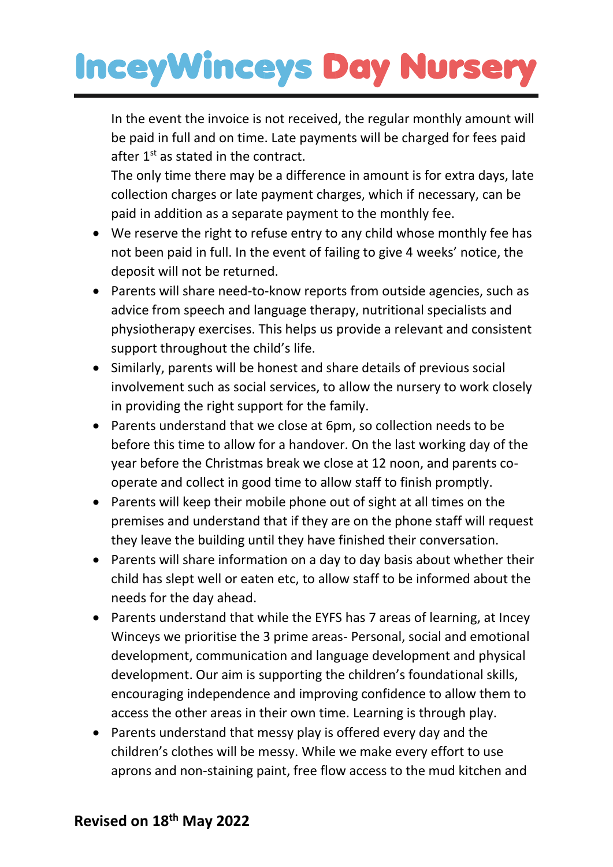In the event the invoice is not received, the regular monthly amount will be paid in full and on time. Late payments will be charged for fees paid after 1<sup>st</sup> as stated in the contract.

The only time there may be a difference in amount is for extra days, late collection charges or late payment charges, which if necessary, can be paid in addition as a separate payment to the monthly fee.

- We reserve the right to refuse entry to any child whose monthly fee has not been paid in full. In the event of failing to give 4 weeks' notice, the deposit will not be returned.
- Parents will share need-to-know reports from outside agencies, such as advice from speech and language therapy, nutritional specialists and physiotherapy exercises. This helps us provide a relevant and consistent support throughout the child's life.
- Similarly, parents will be honest and share details of previous social involvement such as social services, to allow the nursery to work closely in providing the right support for the family.
- Parents understand that we close at 6pm, so collection needs to be before this time to allow for a handover. On the last working day of the year before the Christmas break we close at 12 noon, and parents cooperate and collect in good time to allow staff to finish promptly.
- Parents will keep their mobile phone out of sight at all times on the premises and understand that if they are on the phone staff will request they leave the building until they have finished their conversation.
- Parents will share information on a day to day basis about whether their child has slept well or eaten etc, to allow staff to be informed about the needs for the day ahead.
- Parents understand that while the EYFS has 7 areas of learning, at Incey Winceys we prioritise the 3 prime areas- Personal, social and emotional development, communication and language development and physical development. Our aim is supporting the children's foundational skills, encouraging independence and improving confidence to allow them to access the other areas in their own time. Learning is through play.
- Parents understand that messy play is offered every day and the children's clothes will be messy. While we make every effort to use aprons and non-staining paint, free flow access to the mud kitchen and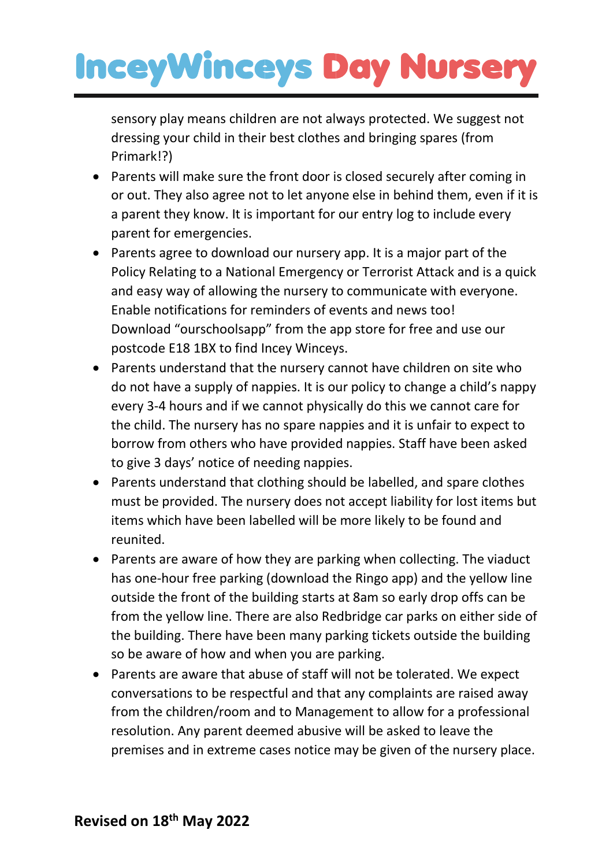sensory play means children are not always protected. We suggest not dressing your child in their best clothes and bringing spares (from Primark!?)

- Parents will make sure the front door is closed securely after coming in or out. They also agree not to let anyone else in behind them, even if it is a parent they know. It is important for our entry log to include every parent for emergencies.
- Parents agree to download our nursery app. It is a major part of the Policy Relating to a National Emergency or Terrorist Attack and is a quick and easy way of allowing the nursery to communicate with everyone. Enable notifications for reminders of events and news too! Download "ourschoolsapp" from the app store for free and use our postcode E18 1BX to find Incey Winceys.
- Parents understand that the nursery cannot have children on site who do not have a supply of nappies. It is our policy to change a child's nappy every 3-4 hours and if we cannot physically do this we cannot care for the child. The nursery has no spare nappies and it is unfair to expect to borrow from others who have provided nappies. Staff have been asked to give 3 days' notice of needing nappies.
- Parents understand that clothing should be labelled, and spare clothes must be provided. The nursery does not accept liability for lost items but items which have been labelled will be more likely to be found and reunited.
- Parents are aware of how they are parking when collecting. The viaduct has one-hour free parking (download the Ringo app) and the yellow line outside the front of the building starts at 8am so early drop offs can be from the yellow line. There are also Redbridge car parks on either side of the building. There have been many parking tickets outside the building so be aware of how and when you are parking.
- Parents are aware that abuse of staff will not be tolerated. We expect conversations to be respectful and that any complaints are raised away from the children/room and to Management to allow for a professional resolution. Any parent deemed abusive will be asked to leave the premises and in extreme cases notice may be given of the nursery place.